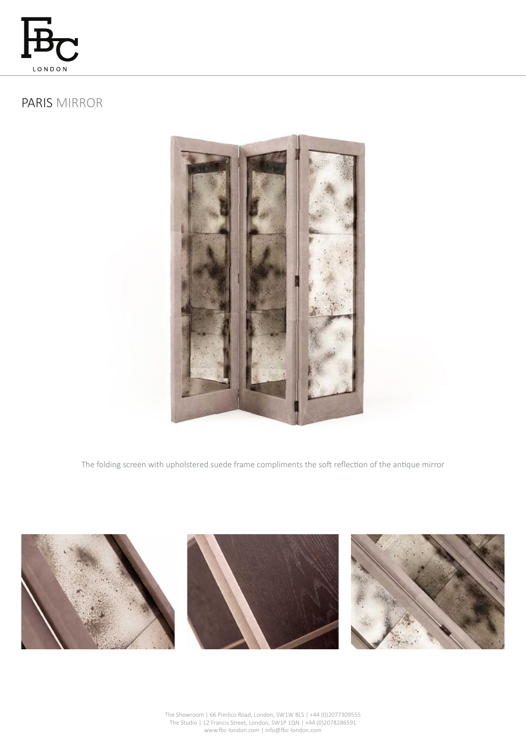

# PARIS MIRROR



The folding screen with upholstered suede frame compliments the soft reflection of the antique mirror